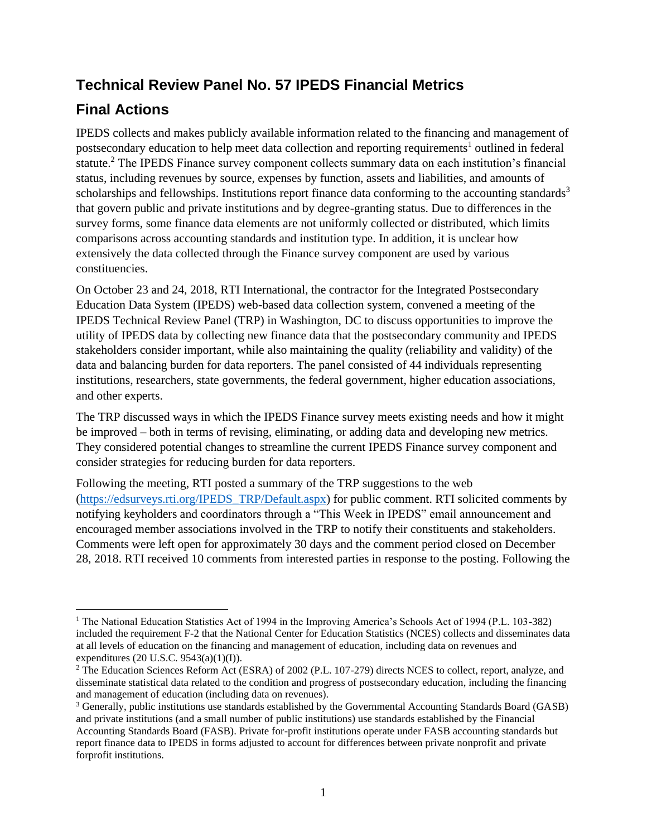## **Technical Review Panel No. 57 IPEDS Financial Metrics**

## **Final Actions**

IPEDS collects and makes publicly available information related to the financing and management of postsecondary education to help meet data collection and reporting requirements<sup>1</sup> outlined in federal statute.<sup>2</sup> The IPEDS Finance survey component collects summary data on each institution's financial status, including revenues by source, expenses by function, assets and liabilities, and amounts of scholarships and fellowships. Institutions report finance data conforming to the accounting standards<sup>3</sup> that govern public and private institutions and by degree-granting status. Due to differences in the survey forms, some finance data elements are not uniformly collected or distributed, which limits comparisons across accounting standards and institution type. In addition, it is unclear how extensively the data collected through the Finance survey component are used by various constituencies.

On October 23 and 24, 2018, RTI International, the contractor for the Integrated Postsecondary Education Data System (IPEDS) web-based data collection system, convened a meeting of the IPEDS Technical Review Panel (TRP) in Washington, DC to discuss opportunities to improve the utility of IPEDS data by collecting new finance data that the postsecondary community and IPEDS stakeholders consider important, while also maintaining the quality (reliability and validity) of the data and balancing burden for data reporters. The panel consisted of 44 individuals representing institutions, researchers, state governments, the federal government, higher education associations, and other experts.

The TRP discussed ways in which the IPEDS Finance survey meets existing needs and how it might be improved – both in terms of revising, eliminating, or adding data and developing new metrics. They considered potential changes to streamline the current IPEDS Finance survey component and consider strategies for reducing burden for data reporters.

Following the meeting, RTI posted a summary of the TRP suggestions to the web [\(https://edsurveys.rti.org/IPEDS\\_TRP/Default.aspx\)](https://edsurveys.rti.org/IPEDS_TRP/Default.aspx) for public comment. RTI solicited comments by notifying keyholders and coordinators through a "This Week in IPEDS" email announcement and encouraged member associations involved in the TRP to notify their constituents and stakeholders. Comments were left open for approximately 30 days and the comment period closed on December 28, 2018. RTI received 10 comments from interested parties in response to the posting. Following the

<sup>&</sup>lt;sup>1</sup> The National Education Statistics Act of 1994 in the Improving America's Schools Act of 1994 (P.L. 103-382) included the requirement F-2 that the National Center for Education Statistics (NCES) collects and disseminates data at all levels of education on the financing and management of education, including data on revenues and expenditures (20 U.S.C. 9543(a)(1)(I)).

<sup>&</sup>lt;sup>2</sup> The Education Sciences Reform Act (ESRA) of 2002 (P.L. 107-279) directs NCES to collect, report, analyze, and disseminate statistical data related to the condition and progress of postsecondary education, including the financing and management of education (including data on revenues).

<sup>3</sup> Generally, public institutions use standards established by the Governmental Accounting Standards Board (GASB) and private institutions (and a small number of public institutions) use standards established by the Financial Accounting Standards Board (FASB). Private for-profit institutions operate under FASB accounting standards but report finance data to IPEDS in forms adjusted to account for differences between private nonprofit and private forprofit institutions.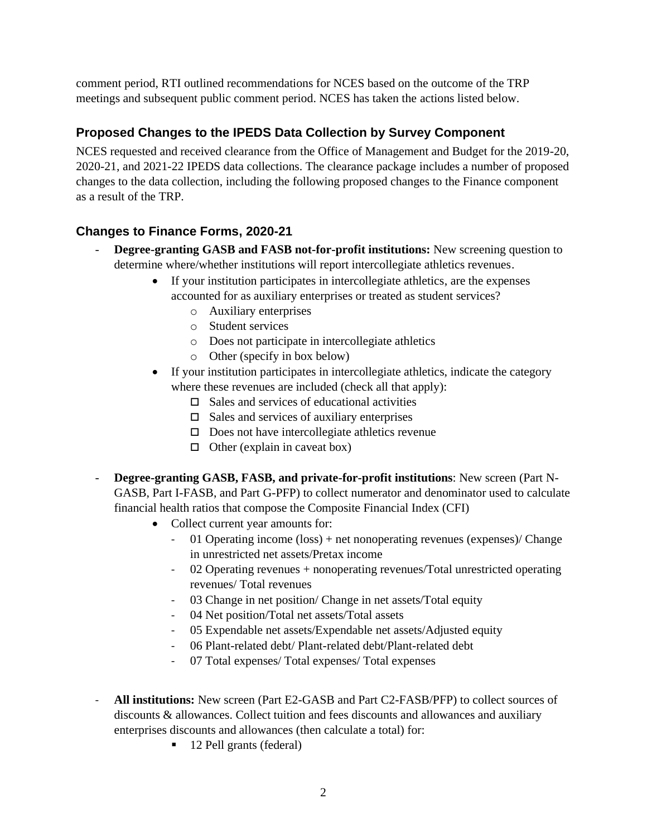comment period, RTI outlined recommendations for NCES based on the outcome of the TRP meetings and subsequent public comment period. NCES has taken the actions listed below.

## **Proposed Changes to the IPEDS Data Collection by Survey Component**

NCES requested and received clearance from the Office of Management and Budget for the 2019-20, 2020-21, and 2021-22 IPEDS data collections. The clearance package includes a number of proposed changes to the data collection, including the following proposed changes to the Finance component as a result of the TRP.

## **Changes to Finance Forms, 2020-21**

- **Degree-granting GASB and FASB not-for-profit institutions:** New screening question to determine where/whether institutions will report intercollegiate athletics revenues.
	- If your institution participates in intercollegiate athletics, are the expenses accounted for as auxiliary enterprises or treated as student services?
		- o Auxiliary enterprises
		- o Student services
		- o Does not participate in intercollegiate athletics
		- o Other (specify in box below)
	- If your institution participates in intercollegiate athletics, indicate the category where these revenues are included (check all that apply):
		- $\Box$  Sales and services of educational activities
		- $\Box$  Sales and services of auxiliary enterprises
		- $\square$  Does not have intercollegiate athletics revenue
		- $\Box$  Other (explain in caveat box)
- **Degree-granting GASB, FASB, and private-for-profit institutions:** New screen (Part N-GASB, Part I-FASB, and Part G-PFP) to collect numerator and denominator used to calculate financial health ratios that compose the Composite Financial Index (CFI)
	- Collect current year amounts for:
		- 01 Operating income (loss) + net nonoperating revenues (expenses)/ Change in unrestricted net assets/Pretax income
		- 02 Operating revenues + nonoperating revenues/Total unrestricted operating revenues/ Total revenues
		- 03 Change in net position/ Change in net assets/Total equity
		- 04 Net position/Total net assets/Total assets
		- 05 Expendable net assets/Expendable net assets/Adjusted equity
		- 06 Plant-related debt/ Plant-related debt/Plant-related debt
		- 07 Total expenses/ Total expenses/ Total expenses
- **All institutions:** New screen (Part E2-GASB and Part C2-FASB/PFP) to collect sources of discounts & allowances. Collect tuition and fees discounts and allowances and auxiliary enterprises discounts and allowances (then calculate a total) for:
	- 12 Pell grants (federal)